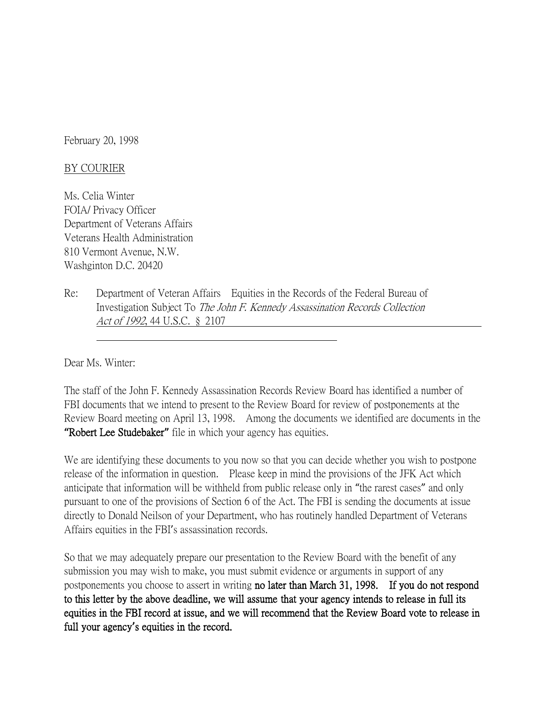February 20, 1998

## BY COURIER

Ms. Celia Winter FOIA/ Privacy Officer Department of Veterans Affairs Veterans Health Administration 810 Vermont Avenue, N.W. Washginton D.C. 20420

Re: Department of Veteran Affairs Equities in the Records of the Federal Bureau of Investigation Subject To The John F. Kennedy Assassination Records Collection Act of 1992, 44 U.S.C. § 2107

Dear Ms. Winter:

The staff of the John F. Kennedy Assassination Records Review Board has identified a number of FBI documents that we intend to present to the Review Board for review of postponements at the Review Board meeting on April 13, 1998. Among the documents we identified are documents in the **"**Robert Lee Studebaker**"** file in which your agency has equities.

We are identifying these documents to you now so that you can decide whether you wish to postpone release of the information in question. Please keep in mind the provisions of the JFK Act which anticipate that information will be withheld from public release only in "the rarest cases" and only pursuant to one of the provisions of Section 6 of the Act. The FBI is sending the documents at issue directly to Donald Neilson of your Department, who has routinely handled Department of Veterans Affairs equities in the FBI's assassination records.

So that we may adequately prepare our presentation to the Review Board with the benefit of any submission you may wish to make, you must submit evidence or arguments in support of any postponements you choose to assert in writing no later than March 31, 1998. If you do not respond to this letter by the above deadline, we will assume that your agency intends to release in full its equities in the FBI record at issue, and we will recommend that the Review Board vote to release in full your agency**'**s equities in the record.